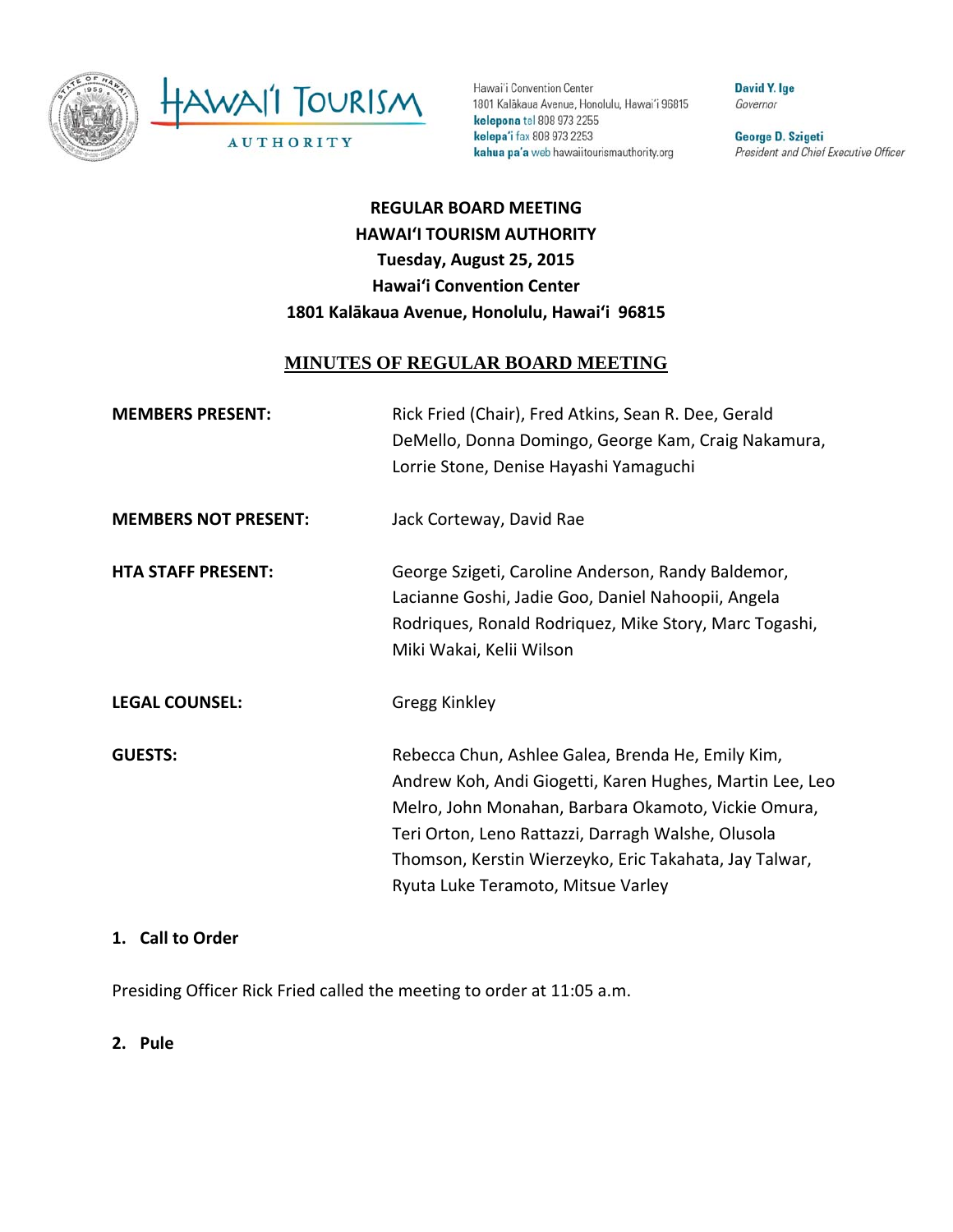

Hawai'i Convention Center 1801 Kalākaua Avenue, Honolulu, Hawai'i 96815 kelepona tel 808 973 2255 kelepa'i fax 808 973 2253 kahua pa'a web hawaiitourismauthority.org

David Y. Ige Governor

George D. Szigeti President and Chief Executive Officer

# **REGULAR BOARD MEETING HAWAI'I TOURISM AUTHORITY Tuesday, August 25, 2015 Hawai'i Convention Center 1801 Kalākaua Avenue, Honolulu, Hawai'i 96815**

#### **MINUTES OF REGULAR BOARD MEETING**

| <b>MEMBERS PRESENT:</b>     | Rick Fried (Chair), Fred Atkins, Sean R. Dee, Gerald<br>DeMello, Donna Domingo, George Kam, Craig Nakamura,<br>Lorrie Stone, Denise Hayashi Yamaguchi                                                                                                                                                                      |
|-----------------------------|----------------------------------------------------------------------------------------------------------------------------------------------------------------------------------------------------------------------------------------------------------------------------------------------------------------------------|
| <b>MEMBERS NOT PRESENT:</b> | Jack Corteway, David Rae                                                                                                                                                                                                                                                                                                   |
| <b>HTA STAFF PRESENT:</b>   | George Szigeti, Caroline Anderson, Randy Baldemor,<br>Lacianne Goshi, Jadie Goo, Daniel Nahoopii, Angela<br>Rodriques, Ronald Rodriquez, Mike Story, Marc Togashi,<br>Miki Wakai, Kelii Wilson                                                                                                                             |
| <b>LEGAL COUNSEL:</b>       | <b>Gregg Kinkley</b>                                                                                                                                                                                                                                                                                                       |
| <b>GUESTS:</b>              | Rebecca Chun, Ashlee Galea, Brenda He, Emily Kim,<br>Andrew Koh, Andi Giogetti, Karen Hughes, Martin Lee, Leo<br>Melro, John Monahan, Barbara Okamoto, Vickie Omura,<br>Teri Orton, Leno Rattazzi, Darragh Walshe, Olusola<br>Thomson, Kerstin Wierzeyko, Eric Takahata, Jay Talwar,<br>Ryuta Luke Teramoto, Mitsue Varley |

#### **1. Call to Order**

Presiding Officer Rick Fried called the meeting to order at 11:05 a.m.

#### **2. Pule**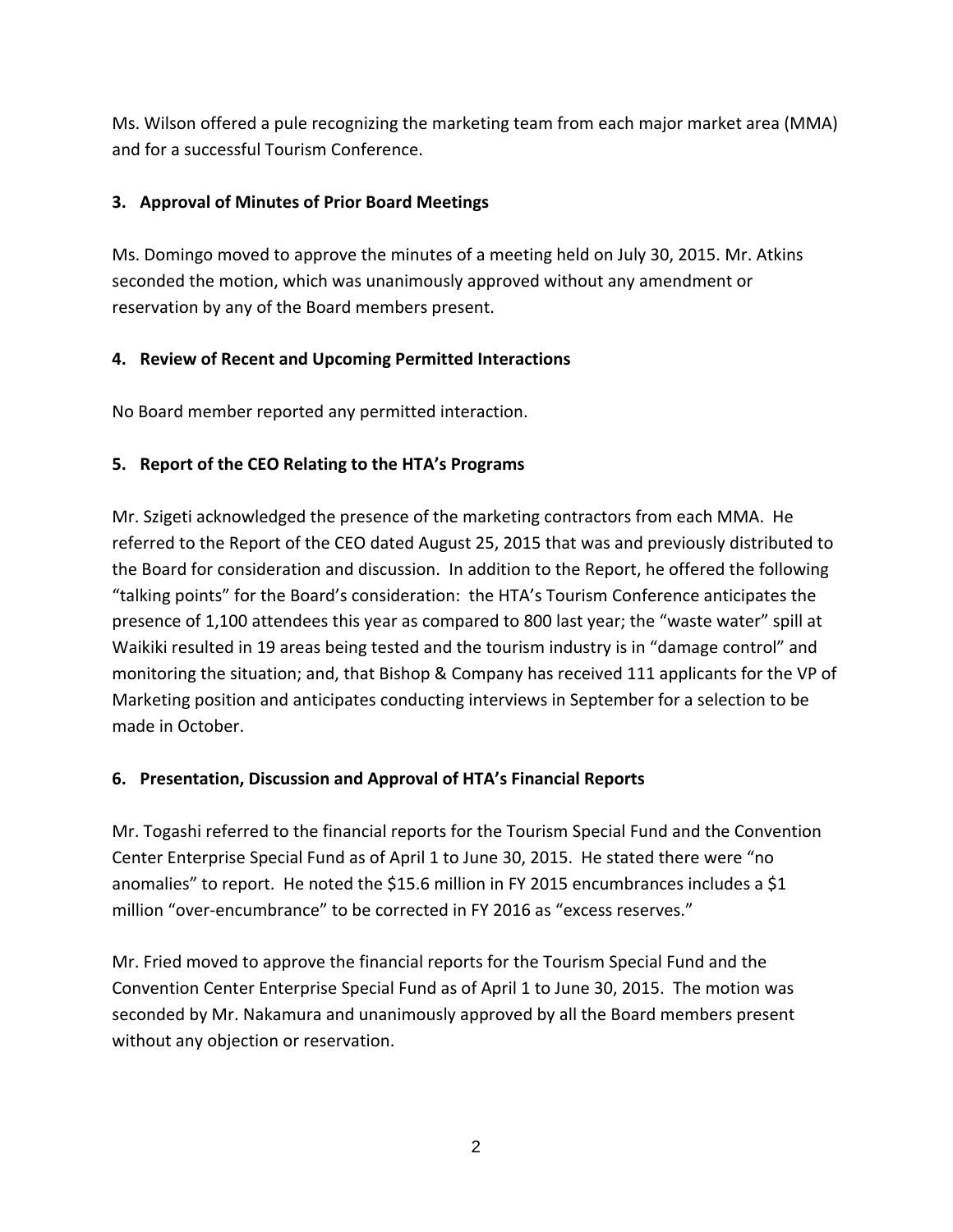Ms. Wilson offered a pule recognizing the marketing team from each major market area (MMA) and for a successful Tourism Conference.

#### **3. Approval of Minutes of Prior Board Meetings**

Ms. Domingo moved to approve the minutes of a meeting held on July 30, 2015. Mr. Atkins seconded the motion, which was unanimously approved without any amendment or reservation by any of the Board members present.

## **4. Review of Recent and Upcoming Permitted Interactions**

No Board member reported any permitted interaction.

## **5. Report of the CEO Relating to the HTA's Programs**

Mr. Szigeti acknowledged the presence of the marketing contractors from each MMA. He referred to the Report of the CEO dated August 25, 2015 that was and previously distributed to the Board for consideration and discussion. In addition to the Report, he offered the following "talking points" for the Board's consideration: the HTA's Tourism Conference anticipates the presence of 1,100 attendees this year as compared to 800 last year; the "waste water" spill at Waikiki resulted in 19 areas being tested and the tourism industry is in "damage control" and monitoring the situation; and, that Bishop & Company has received 111 applicants for the VP of Marketing position and anticipates conducting interviews in September for a selection to be made in October.

## **6. Presentation, Discussion and Approval of HTA's Financial Reports**

Mr. Togashi referred to the financial reports for the Tourism Special Fund and the Convention Center Enterprise Special Fund as of April 1 to June 30, 2015. He stated there were "no anomalies" to report. He noted the \$15.6 million in FY 2015 encumbrances includes a \$1 million "over-encumbrance" to be corrected in FY 2016 as "excess reserves."

Mr. Fried moved to approve the financial reports for the Tourism Special Fund and the Convention Center Enterprise Special Fund as of April 1 to June 30, 2015. The motion was seconded by Mr. Nakamura and unanimously approved by all the Board members present without any objection or reservation.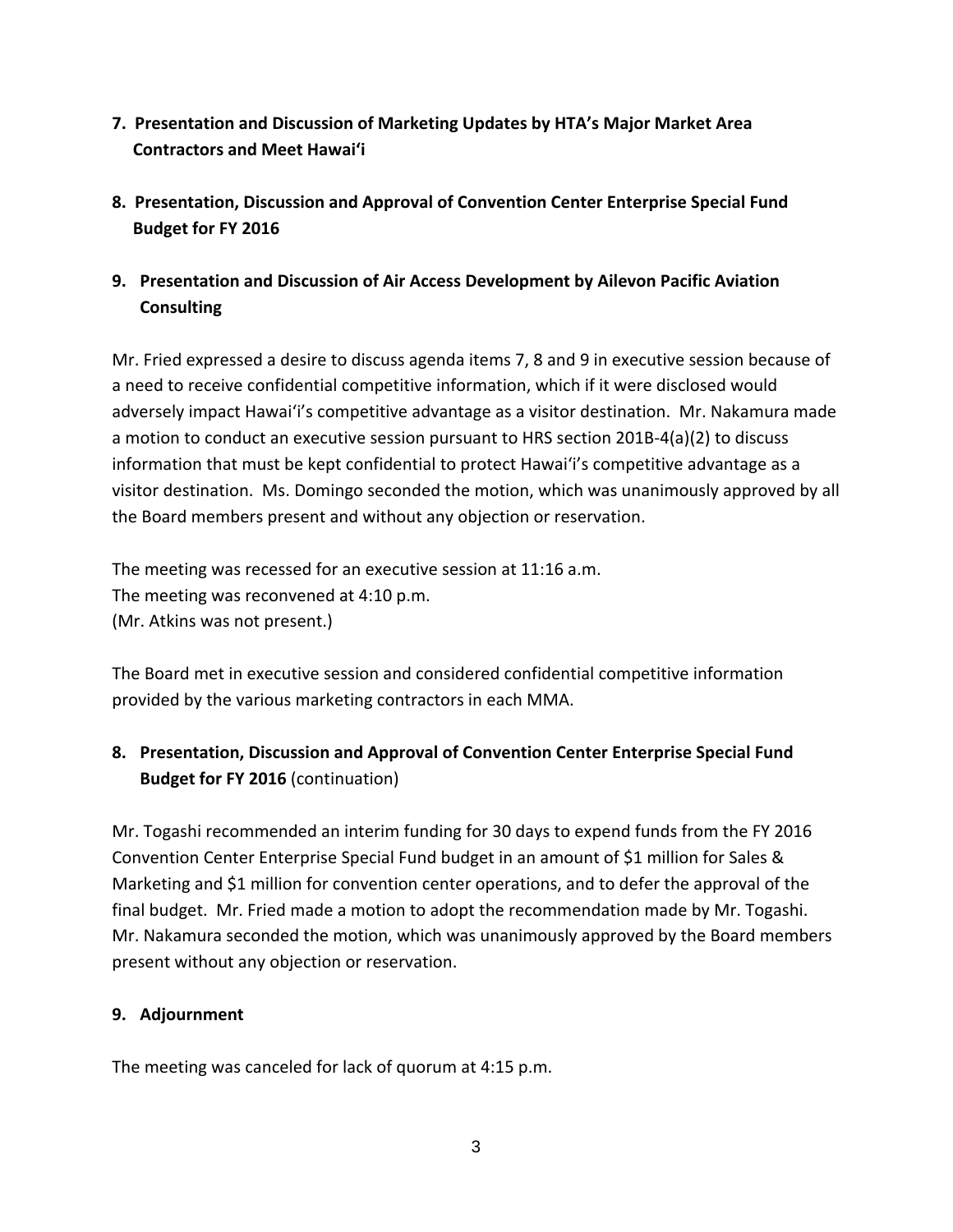- **7. Presentation and Discussion of Marketing Updates by HTA's Major Market Area Contractors and Meet Hawai'i**
- **8. Presentation, Discussion and Approval of Convention Center Enterprise Special Fund Budget for FY 2016**
- **9. Presentation and Discussion of Air Access Development by Ailevon Pacific Aviation Consulting**

Mr. Fried expressed a desire to discuss agenda items 7, 8 and 9 in executive session because of a need to receive confidential competitive information, which if it were disclosed would adversely impact Hawai'i's competitive advantage as a visitor destination. Mr. Nakamura made a motion to conduct an executive session pursuant to HRS section 201B‐4(a)(2) to discuss information that must be kept confidential to protect Hawai'i's competitive advantage as a visitor destination. Ms. Domingo seconded the motion, which was unanimously approved by all the Board members present and without any objection or reservation.

The meeting was recessed for an executive session at 11:16 a.m. The meeting was reconvened at 4:10 p.m. (Mr. Atkins was not present.)

The Board met in executive session and considered confidential competitive information provided by the various marketing contractors in each MMA.

## **8. Presentation, Discussion and Approval of Convention Center Enterprise Special Fund Budget for FY 2016** (continuation)

Mr. Togashi recommended an interim funding for 30 days to expend funds from the FY 2016 Convention Center Enterprise Special Fund budget in an amount of \$1 million for Sales & Marketing and \$1 million for convention center operations, and to defer the approval of the final budget. Mr. Fried made a motion to adopt the recommendation made by Mr. Togashi. Mr. Nakamura seconded the motion, which was unanimously approved by the Board members present without any objection or reservation.

## **9. Adjournment**

The meeting was canceled for lack of quorum at 4:15 p.m.